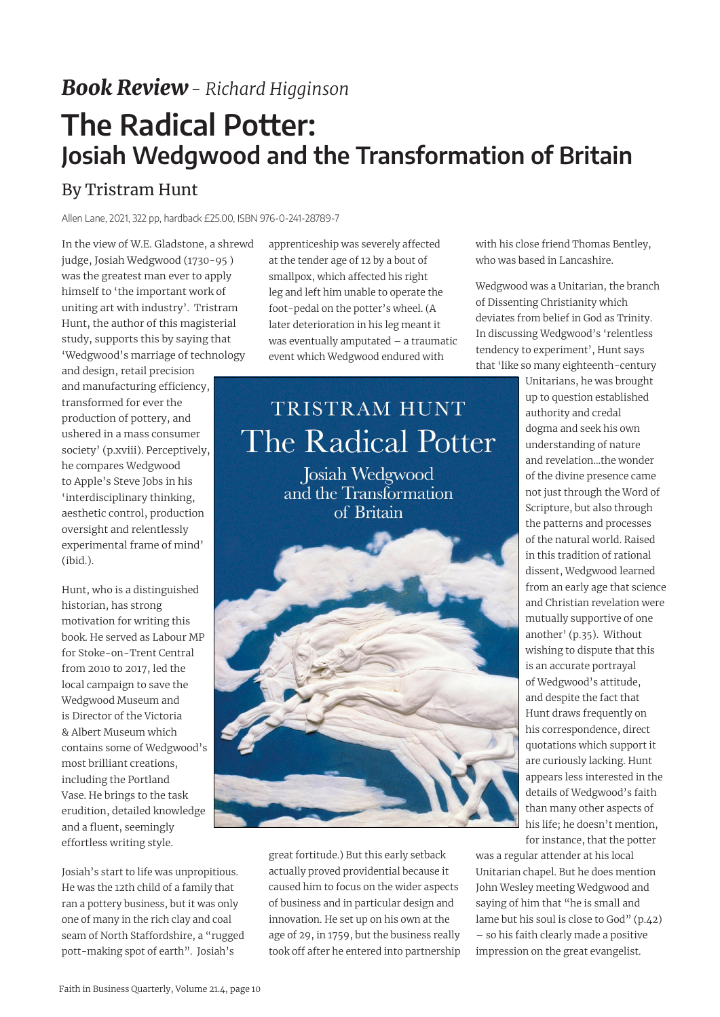## *Book Review- Richard Higginson*

## **The Radical Potter: Josiah Wedgwood and the Transformation of Britain**

## By Tristram Hunt

Allen Lane, 2021, 322 pp, hardback £25.00, ISBN 976-0-241-28789-7

In the view of W.E. Gladstone, a shrewd judge, Josiah Wedgwood (1730-95 ) was the greatest man ever to apply himself to 'the important work of uniting art with industry'. Tristram Hunt, the author of this magisterial study, supports this by saying that 'Wedgwood's marriage of technology

and design, retail precision and manufacturing efficiency, transformed for ever the production of pottery, and ushered in a mass consumer society' (p.xviii). Perceptively, he compares Wedgwood to Apple's Steve Jobs in his 'interdisciplinary thinking, aesthetic control, production oversight and relentlessly experimental frame of mind' (ibid.).

Hunt, who is a distinguished historian, has strong motivation for writing this book. He served as Labour MP for Stoke-on-Trent Central from 2010 to 2017, led the local campaign to save the Wedgwood Museum and is Director of the Victoria & Albert Museum which contains some of Wedgwood's most brilliant creations, including the Portland Vase. He brings to the task erudition, detailed knowledge and a fluent, seemingly effortless writing style.

Josiah's start to life was unpropitious. He was the 12th child of a family that ran a pottery business, but it was only one of many in the rich clay and coal seam of North Staffordshire, a "rugged pott-making spot of earth". Josiah's

apprenticeship was severely affected at the tender age of 12 by a bout of smallpox, which affected his right leg and left him unable to operate the foot-pedal on the potter's wheel. (A later deterioration in his leg meant it was eventually amputated – a traumatic event which Wedgwood endured with

## TRISTRAM HUNT The Radical Potter

Josiah Wedgwood and the Transformation of Britain



great fortitude.) But this early setback actually proved providential because it caused him to focus on the wider aspects of business and in particular design and innovation. He set up on his own at the age of 29, in 1759, but the business really took off after he entered into partnership with his close friend Thomas Bentley, who was based in Lancashire.

Wedgwood was a Unitarian, the branch of Dissenting Christianity which deviates from belief in God as Trinity. In discussing Wedgwood's 'relentless tendency to experiment', Hunt says that 'like so many eighteenth-century

> Unitarians, he was brought up to question established authority and credal dogma and seek his own understanding of nature and revelation…the wonder of the divine presence came not just through the Word of Scripture, but also through the patterns and processes of the natural world. Raised in this tradition of rational dissent, Wedgwood learned from an early age that science and Christian revelation were mutually supportive of one another' (p.35). Without wishing to dispute that this is an accurate portrayal of Wedgwood's attitude, and despite the fact that Hunt draws frequently on his correspondence, direct quotations which support it are curiously lacking. Hunt appears less interested in the details of Wedgwood's faith than many other aspects of his life; he doesn't mention, for instance, that the potter

was a regular attender at his local Unitarian chapel. But he does mention John Wesley meeting Wedgwood and saying of him that "he is small and lame but his soul is close to God" (p.42) – so his faith clearly made a positive impression on the great evangelist.